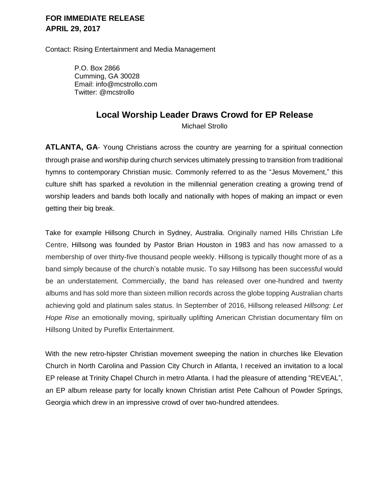#### **FOR IMMEDIATE RELEASE APRIL 29, 2017**

Contact: Rising Entertainment and Media Management

 P.O. Box 2866 Cumming, GA 30028 Email: info@mcstrollo.com Twitter: @mcstrollo

## **Local Worship Leader Draws Crowd for EP Release**

Michael Strollo

**ATLANTA, GA-** Young Christians across the country are yearning for a spiritual connection through praise and worship during church services ultimately pressing to transition from traditional hymns to contemporary Christian music. Commonly referred to as the "Jesus Movement," this culture shift has sparked a revolution in the millennial generation creating a growing trend of worship leaders and bands both locally and nationally with hopes of making an impact or even getting their big break.

Take for example Hillsong Church in Sydney, Australia. Originally named Hills Christian Life Centre, Hillsong was founded by Pastor Brian Houston in 1983 and has now amassed to a membership of over thirty-five thousand people weekly. Hillsong is typically thought more of as a band simply because of the church's notable music. To say Hillsong has been successful would be an understatement. Commercially, the band has released over one-hundred and twenty albums and has sold more than sixteen million records across the globe topping Australian charts achieving gold and platinum sales status. In September of 2016, Hillsong released *Hillsong: Let Hope Rise* an emotionally moving, spiritually uplifting American Christian documentary film on Hillsong United by Pureflix Entertainment.

With the new retro-hipster Christian movement sweeping the nation in churches like Elevation Church in North Carolina and Passion City Church in Atlanta, I received an invitation to a local EP release at Trinity Chapel Church in metro Atlanta. I had the pleasure of attending "REVEAL", an EP album release party for locally known Christian artist Pete Calhoun of Powder Springs, Georgia which drew in an impressive crowd of over two-hundred attendees.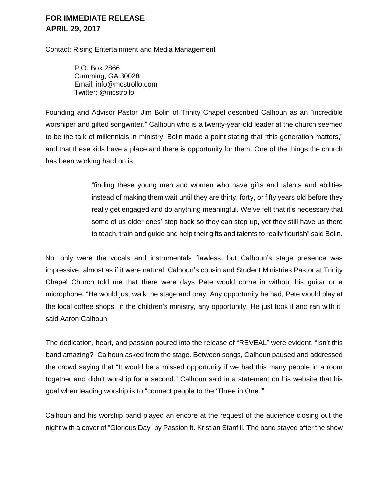#### **FOR IMMEDIATE RELEASE APRIL 29, 2017**

Contact: Rising Entertainment and Media Management

 P.O. Box 2866 Cumming, GA 30028 Email: info@mcstrollo.com Twitter: @mcstrollo

Founding and Advisor Pastor Jim Bolin of Trinity Chapel described Calhoun as an "incredible worshiper and gifted songwriter." Calhoun who is a twenty-year-old leader at the church seemed to be the talk of millennials in ministry. Bolin made a point stating that "this generation matters," and that these kids have a place and there is opportunity for them. One of the things the church has been working hard on is

> "finding these young men and women who have gifts and talents and abilities instead of making them wait until they are thirty, forty, or fifty years old before they really get engaged and do anything meaningful. We've felt that it's necessary that some of us older ones' step back so they can step up, yet they still have us there to teach, train and guide and help their gifts and talents to really flourish" said Bolin.

Not only were the vocals and instrumentals flawless, but Calhoun's stage presence was impressive, almost as if it were natural. Calhoun's cousin and Student Ministries Pastor at Trinity Chapel Church told me that there were days Pete would come in without his guitar or a microphone. "He would just walk the stage and pray. Any opportunity he had, Pete would play at the local coffee shops, in the children's ministry, any opportunity. He just took it and ran with it" said Aaron Calhoun.

The dedication, heart, and passion poured into the release of "REVEAL" were evident. "Isn't this band amazing?" Calhoun asked from the stage. Between songs, Calhoun paused and addressed the crowd saying that "It would be a missed opportunity if we had this many people in a room together and didn't worship for a second." Calhoun said in a statement on his website that his goal when leading worship is to "connect people to the 'Three in One.'"

Calhoun and his worship band played an encore at the request of the audience closing out the night with a cover of "Glorious Day" by Passion ft. Kristian Stanfill. The band stayed after the show